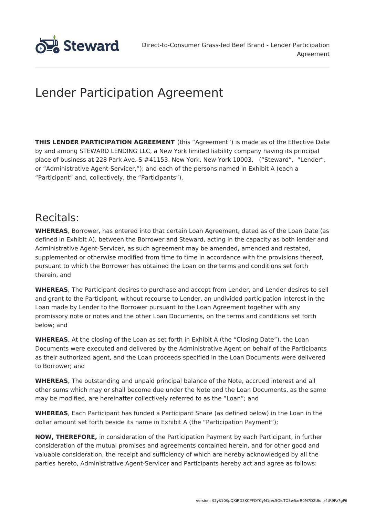

# Lender Participation Agreement

**THIS LENDER PARTICIPATION AGREEMENT** (this "Agreement") is made as of the Effective Date by and among STEWARD LENDING LLC, a New York limited liability company having its principal place of business at 228 Park Ave. S #41153, New York, New York 10003, ("Steward", "Lender", or "Administrative Agent-Servicer,"); and each of the persons named in Exhibit A (each a "Participant" and, collectively, the "Participants").

# Recitals:

**WHEREAS**, Borrower, has entered into that certain Loan Agreement, dated as of the Loan Date (as defined in Exhibit A), between the Borrower and Steward, acting in the capacity as both lender and Administrative Agent-Servicer, as such agreement may be amended, amended and restated, supplemented or otherwise modified from time to time in accordance with the provisions thereof, pursuant to which the Borrower has obtained the Loan on the terms and conditions set forth therein, and

**WHEREAS**, The Participant desires to purchase and accept from Lender, and Lender desires to sell and grant to the Participant, without recourse to Lender, an undivided participation interest in the Loan made by Lender to the Borrower pursuant to the Loan Agreement together with any promissory note or notes and the other Loan Documents, on the terms and conditions set forth below; and

**WHEREAS**, At the closing of the Loan as set forth in Exhibit A (the "Closing Date"), the Loan Documents were executed and delivered by the Administrative Agent on behalf of the Participants as their authorized agent, and the Loan proceeds specified in the Loan Documents were delivered to Borrower; and

**WHEREAS**, The outstanding and unpaid principal balance of the Note, accrued interest and all other sums which may or shall become due under the Note and the Loan Documents, as the same may be modified, are hereinafter collectively referred to as the "Loan"; and

**WHEREAS**, Each Participant has funded a Participant Share (as defined below) in the Loan in the dollar amount set forth beside its name in Exhibit A (the "Participation Payment");

**NOW, THEREFORE,** in consideration of the Participation Payment by each Participant, in further consideration of the mutual promises and agreements contained herein, and for other good and valuable consideration, the receipt and sufficiency of which are hereby acknowledged by all the parties hereto, Administrative Agent-Servicer and Participants hereby act and agree as follows: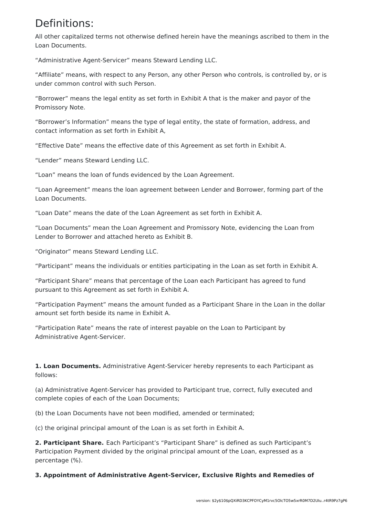## Definitions:

All other capitalized terms not otherwise defined herein have the meanings ascribed to them in the Loan Documents.

"Administrative Agent-Servicer" means Steward Lending LLC.

"Affiliate" means, with respect to any Person, any other Person who controls, is controlled by, or is under common control with such Person.

"Borrower" means the legal entity as set forth in Exhibit A that is the maker and payor of the Promissory Note.

"Borrower's Information" means the type of legal entity, the state of formation, address, and contact information as set forth in Exhibit A,

"Effective Date" means the effective date of this Agreement as set forth in Exhibit A.

"Lender" means Steward Lending LLC.

"Loan" means the loan of funds evidenced by the Loan Agreement.

"Loan Agreement" means the loan agreement between Lender and Borrower, forming part of the Loan Documents.

"Loan Date" means the date of the Loan Agreement as set forth in Exhibit A.

"Loan Documents" mean the Loan Agreement and Promissory Note, evidencing the Loan from Lender to Borrower and attached hereto as Exhibit B.

"Originator" means Steward Lending LLC.

"Participant" means the individuals or entities participating in the Loan as set forth in Exhibit A.

"Participant Share" means that percentage of the Loan each Participant has agreed to fund pursuant to this Agreement as set forth in Exhibit A.

"Participation Payment" means the amount funded as a Participant Share in the Loan in the dollar amount set forth beside its name in Exhibit A.

"Participation Rate" means the rate of interest payable on the Loan to Participant by Administrative Agent-Servicer.

**1. Loan Documents.** Administrative Agent-Servicer hereby represents to each Participant as follows:

(a) Administrative Agent-Servicer has provided to Participant true, correct, fully executed and complete copies of each of the Loan Documents;

(b) the Loan Documents have not been modified, amended or terminated;

(c) the original principal amount of the Loan is as set forth in Exhibit A.

**2. Participant Share.** Each Participant's "Participant Share" is defined as such Participant's Participation Payment divided by the original principal amount of the Loan, expressed as a percentage (%).

**3. Appointment of Administrative Agent-Servicer, Exclusive Rights and Remedies of**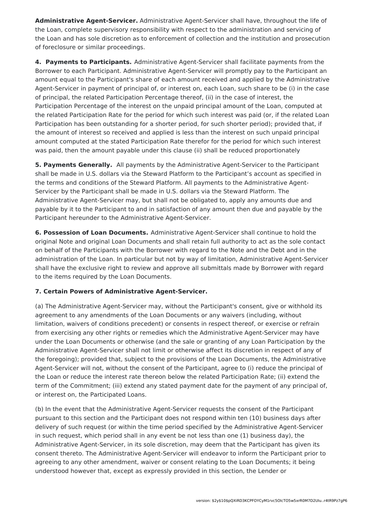**Administrative Agent-Servicer.** Administrative Agent-Servicer shall have, throughout the life of the Loan, complete supervisory responsibility with respect to the administration and servicing of the Loan and has sole discretion as to enforcement of collection and the institution and prosecution of foreclosure or similar proceedings.

**4. Payments to Participants.** Administrative Agent-Servicer shall facilitate payments from the Borrower to each Participant. Administrative Agent-Servicer will promptly pay to the Participant an amount equal to the Participant's share of each amount received and applied by the Administrative Agent-Servicer in payment of principal of, or interest on, each Loan, such share to be (i) in the case of principal, the related Participation Percentage thereof, (ii) in the case of interest, the Participation Percentage of the interest on the unpaid principal amount of the Loan, computed at the related Participation Rate for the period for which such interest was paid (or, if the related Loan Participation has been outstanding for a shorter period, for such shorter period); provided that, if the amount of interest so received and applied is less than the interest on such unpaid principal amount computed at the stated Participation Rate therefor for the period for which such interest was paid, then the amount payable under this clause (ii) shall be reduced proportionately

**5. Payments Generally.** All payments by the Administrative Agent-Servicer to the Participant shall be made in U.S. dollars via the Steward Platform to the Participant's account as specified in the terms and conditions of the Steward Platform. All payments to the Administrative Agent-Servicer by the Participant shall be made in U.S. dollars via the Steward Platform. The Administrative Agent-Servicer may, but shall not be obligated to, apply any amounts due and payable by it to the Participant to and in satisfaction of any amount then due and payable by the Participant hereunder to the Administrative Agent-Servicer.

**6. Possession of Loan Documents.** Administrative Agent-Servicer shall continue to hold the original Note and original Loan Documents and shall retain full authority to act as the sole contact on behalf of the Participants with the Borrower with regard to the Note and the Debt and in the administration of the Loan. In particular but not by way of limitation, Administrative Agent-Servicer shall have the exclusive right to review and approve all submittals made by Borrower with regard to the items required by the Loan Documents.

### **7. Certain Powers of Administrative Agent-Servicer.**

(a) The Administrative Agent-Servicer may, without the Participant's consent, give or withhold its agreement to any amendments of the Loan Documents or any waivers (including, without limitation, waivers of conditions precedent) or consents in respect thereof, or exercise or refrain from exercising any other rights or remedies which the Administrative Agent-Servicer may have under the Loan Documents or otherwise (and the sale or granting of any Loan Participation by the Administrative Agent-Servicer shall not limit or otherwise affect its discretion in respect of any of the foregoing); provided that, subject to the provisions of the Loan Documents, the Administrative Agent-Servicer will not, without the consent of the Participant, agree to (i) reduce the principal of the Loan or reduce the interest rate thereon below the related Participation Rate; (ii) extend the term of the Commitment; (iii) extend any stated payment date for the payment of any principal of, or interest on, the Participated Loans.

(b) In the event that the Administrative Agent-Servicer requests the consent of the Participant pursuant to this section and the Participant does not respond within ten (10) business days after delivery of such request (or within the time period specified by the Administrative Agent-Servicer in such request, which period shall in any event be not less than one (1) business day), the Administrative Agent-Servicer, in its sole discretion, may deem that the Participant has given its consent thereto. The Administrative Agent-Servicer will endeavor to inform the Participant prior to agreeing to any other amendment, waiver or consent relating to the Loan Documents; it being understood however that, except as expressly provided in this section, the Lender or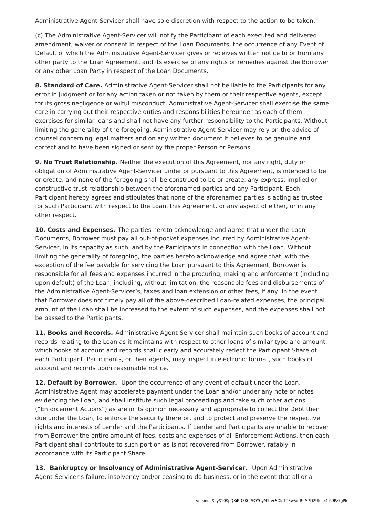Administrative Agent-Servicer shall have sole discretion with respect to the action to be taken.

(c) The Administrative Agent-Servicer will notify the Participant of each executed and delivered amendment, waiver or consent in respect of the Loan Documents, the occurrence of any Event of Default of which the Administrative Agent-Servicer gives or receives written notice to or from any other party to the Loan Agreement, and its exercise of any rights or remedies against the Borrower or any other Loan Party in respect of the Loan Documents.

**8. Standard of Care.** Administrative Agent-Servicer shall not be liable to the Participants for any error in judgment or for any action taken or not taken by them or their respective agents, except for its gross negligence or wilful misconduct. Administrative Agent-Servicer shall exercise the same care in carrying out their respective duties and responsibilities hereunder as each of them exercises for similar loans and shall not have any further responsibility to the Participants. Without limiting the generality of the foregoing, Administrative Agent-Servicer may rely on the advice of counsel concerning legal matters and on any written document it believes to be genuine and correct and to have been signed or sent by the proper Person or Persons.

**9. No Trust Relationship.** Neither the execution of this Agreement, nor any right, duty or obligation of Administrative Agent-Servicer under or pursuant to this Agreement, is intended to be or create, and none of the foregoing shall be construed to be or create, any express, implied or constructive trust relationship between the aforenamed parties and any Participant. Each Participant hereby agrees and stipulates that none of the aforenamed parties is acting as trustee for such Participant with respect to the Loan, this Agreement, or any aspect of either, or in any other respect.

**10. Costs and Expenses.** The parties hereto acknowledge and agree that under the Loan Documents, Borrower must pay all out-of-pocket expenses incurred by Administrative Agent-Servicer, in its capacity as such, and by the Participants in connection with the Loan. Without limiting the generality of foregoing, the parties hereto acknowledge and agree that, with the exception of the fee payable for servicing the Loan pursuant to this Agreement, Borrower is responsible for all fees and expenses incurred in the procuring, making and enforcement (including upon default) of the Loan, including, without limitation, the reasonable fees and disbursements of the Administrative Agent-Servicer's, taxes and loan extension or other fees, if any. In the event that Borrower does not timely pay all of the above-described Loan-related expenses, the principal amount of the Loan shall be increased to the extent of such expenses, and the expenses shall not be passed to the Participants.

**11. Books and Records.** Administrative Agent-Servicer shall maintain such books of account and records relating to the Loan as it maintains with respect to other loans of similar type and amount, which books of account and records shall clearly and accurately reflect the Participant Share of each Participant. Participants, or their agents, may inspect in electronic format, such books of account and records upon reasonable notice.

**12. Default by Borrower.** Upon the occurrence of any event of default under the Loan, Administrative Agent may accelerate payment under the Loan and/or under any note or notes evidencing the Loan, and shall institute such legal proceedings and take such other actions ("Enforcement Actions") as are in its opinion necessary and appropriate to collect the Debt then due under the Loan, to enforce the security therefor, and to protect and preserve the respective rights and interests of Lender and the Participants. If Lender and Participants are unable to recover from Borrower the entire amount of fees, costs and expenses of all Enforcement Actions, then each Participant shall contribute to such portion as is not recovered from Borrower, ratably in accordance with its Participant Share.

**13. Bankruptcy or Insolvency of Administrative Agent-Servicer.** Upon Administrative Agent-Servicer's failure, insolvency and/or ceasing to do business, or in the event that all or a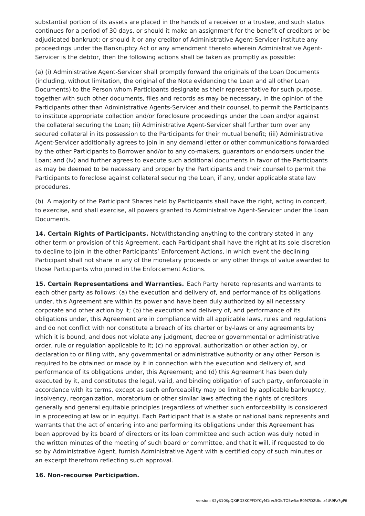substantial portion of its assets are placed in the hands of a receiver or a trustee, and such status continues for a period of 30 days, or should it make an assignment for the benefit of creditors or be adjudicated bankrupt; or should it or any creditor of Administrative Agent-Servicer institute any proceedings under the Bankruptcy Act or any amendment thereto wherein Administrative Agent-Servicer is the debtor, then the following actions shall be taken as promptly as possible:

(a) (i) Administrative Agent-Servicer shall promptly forward the originals of the Loan Documents (including, without limitation, the original of the Note evidencing the Loan and all other Loan Documents) to the Person whom Participants designate as their representative for such purpose, together with such other documents, files and records as may be necessary, in the opinion of the Participants other than Administrative Agents-Servicer and their counsel, to permit the Participants to institute appropriate collection and/or foreclosure proceedings under the Loan and/or against the collateral securing the Loan; (ii) Administrative Agent-Servicer shall further turn over any secured collateral in its possession to the Participants for their mutual benefit; (iii) Administrative Agent-Servicer additionally agrees to join in any demand letter or other communications forwarded by the other Participants to Borrower and/or to any co-makers, guarantors or endorsers under the Loan; and (iv) and further agrees to execute such additional documents in favor of the Participants as may be deemed to be necessary and proper by the Participants and their counsel to permit the Participants to foreclose against collateral securing the Loan, if any, under applicable state law procedures.

(b) A majority of the Participant Shares held by Participants shall have the right, acting in concert, to exercise, and shall exercise, all powers granted to Administrative Agent-Servicer under the Loan Documents.

**14. Certain Rights of Participants.** Notwithstanding anything to the contrary stated in any other term or provision of this Agreement, each Participant shall have the right at its sole discretion to decline to join in the other Participants' Enforcement Actions, in which event the declining Participant shall not share in any of the monetary proceeds or any other things of value awarded to those Participants who joined in the Enforcement Actions.

**15. Certain Representations and Warranties.** Each Party hereto represents and warrants to each other party as follows: (a) the execution and delivery of, and performance of its obligations under, this Agreement are within its power and have been duly authorized by all necessary corporate and other action by it; (b) the execution and delivery of, and performance of its obligations under, this Agreement are in compliance with all applicable laws, rules and regulations and do not conflict with nor constitute a breach of its charter or by-laws or any agreements by which it is bound, and does not violate any judgment, decree or governmental or administrative order, rule or regulation applicable to it; (c) no approval, authorization or other action by, or declaration to or filing with, any governmental or administrative authority or any other Person is required to be obtained or made by it in connection with the execution and delivery of, and performance of its obligations under, this Agreement; and (d) this Agreement has been duly executed by it, and constitutes the legal, valid, and binding obligation of such party, enforceable in accordance with its terms, except as such enforceability may be limited by applicable bankruptcy, insolvency, reorganization, moratorium or other similar laws affecting the rights of creditors generally and general equitable principles (regardless of whether such enforceability is considered in a proceeding at law or in equity). Each Participant that is a state or national bank represents and warrants that the act of entering into and performing its obligations under this Agreement has been approved by its board of directors or its loan committee and such action was duly noted in the written minutes of the meeting of such board or committee, and that it will, if requested to do so by Administrative Agent, furnish Administrative Agent with a certified copy of such minutes or an excerpt therefrom reflecting such approval.

#### **16. Non-recourse Participation.**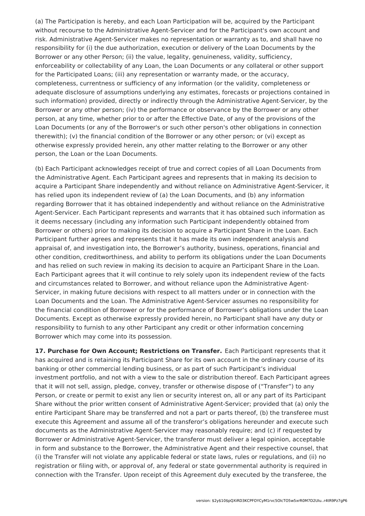(a) The Participation is hereby, and each Loan Participation will be, acquired by the Participant without recourse to the Administrative Agent-Servicer and for the Participant's own account and risk. Administrative Agent-Servicer makes no representation or warranty as to, and shall have no responsibility for (i) the due authorization, execution or delivery of the Loan Documents by the Borrower or any other Person; (ii) the value, legality, genuineness, validity, sufficiency, enforceability or collectability of any Loan, the Loan Documents or any collateral or other support for the Participated Loans; (iii) any representation or warranty made, or the accuracy, completeness, currentness or sufficiency of any information (or the validity, completeness or adequate disclosure of assumptions underlying any estimates, forecasts or projections contained in such information) provided, directly or indirectly through the Administrative Agent-Servicer, by the Borrower or any other person; (iv) the performance or observance by the Borrower or any other person, at any time, whether prior to or after the Effective Date, of any of the provisions of the Loan Documents (or any of the Borrower's or such other person's other obligations in connection therewith); (v) the financial condition of the Borrower or any other person; or (vi) except as otherwise expressly provided herein, any other matter relating to the Borrower or any other person, the Loan or the Loan Documents.

(b) Each Participant acknowledges receipt of true and correct copies of all Loan Documents from the Administrative Agent. Each Participant agrees and represents that in making its decision to acquire a Participant Share independently and without reliance on Administrative Agent-Servicer, it has relied upon its independent review of (a) the Loan Documents, and (b) any information regarding Borrower that it has obtained independently and without reliance on the Administrative Agent-Servicer. Each Participant represents and warrants that it has obtained such information as it deems necessary (including any information such Participant independently obtained from Borrower or others) prior to making its decision to acquire a Participant Share in the Loan. Each Participant further agrees and represents that it has made its own independent analysis and appraisal of, and investigation into, the Borrower's authority, business, operations, financial and other condition, creditworthiness, and ability to perform its obligations under the Loan Documents and has relied on such review in making its decision to acquire an Participant Share in the Loan. Each Participant agrees that it will continue to rely solely upon its independent review of the facts and circumstances related to Borrower, and without reliance upon the Administrative Agent-Servicer, in making future decisions with respect to all matters under or in connection with the Loan Documents and the Loan. The Administrative Agent-Servicer assumes no responsibility for the financial condition of Borrower or for the performance of Borrower's obligations under the Loan Documents. Except as otherwise expressly provided herein, no Participant shall have any duty or responsibility to furnish to any other Participant any credit or other information concerning Borrower which may come into its possession.

**17. Purchase for Own Account; Restrictions on Transfer.** Each Participant represents that it has acquired and is retaining its Participant Share for its own account in the ordinary course of its banking or other commercial lending business, or as part of such Participant's individual investment portfolio, and not with a view to the sale or distribution thereof. Each Participant agrees that it will not sell, assign, pledge, convey, transfer or otherwise dispose of ("Transfer") to any Person, or create or permit to exist any lien or security interest on, all or any part of its Participant Share without the prior written consent of Administrative Agent-Servicer; provided that (a) only the entire Participant Share may be transferred and not a part or parts thereof, (b) the transferee must execute this Agreement and assume all of the transferor's obligations hereunder and execute such documents as the Administrative Agent-Servicer may reasonably require; and (c) if requested by Borrower or Administrative Agent-Servicer, the transferor must deliver a legal opinion, acceptable in form and substance to the Borrower, the Administrative Agent and their respective counsel, that (i) the Transfer will not violate any applicable federal or state laws, rules or regulations, and (ii) no registration or filing with, or approval of, any federal or state governmental authority is required in connection with the Transfer. Upon receipt of this Agreement duly executed by the transferee, the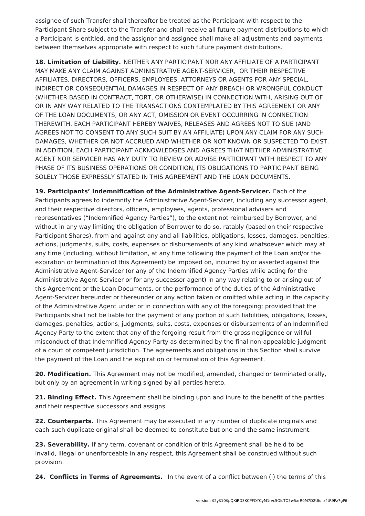assignee of such Transfer shall thereafter be treated as the Participant with respect to the Participant Share subject to the Transfer and shall receive all future payment distributions to which a Participant is entitled, and the assignor and assignee shall make all adjustments and payments between themselves appropriate with respect to such future payment distributions.

**18. Limitation of Liability.** NEITHER ANY PARTICIPANT NOR ANY AFFILIATE OF A PARTICIPANT MAY MAKE ANY CLAIM AGAINST ADMINISTRATIVE AGENT-SERVICER, OR THEIR RESPECTIVE AFFILIATES, DIRECTORS, OFFICERS, EMPLOYEES, ATTORNEYS OR AGENTS FOR ANY SPECIAL, INDIRECT OR CONSEQUENTIAL DAMAGES IN RESPECT OF ANY BREACH OR WRONGFUL CONDUCT (WHETHER BASED IN CONTRACT, TORT, OR OTHERWISE) IN CONNECTION WITH, ARISING OUT OF OR IN ANY WAY RELATED TO THE TRANSACTIONS CONTEMPLATED BY THIS AGREEMENT OR ANY OF THE LOAN DOCUMENTS, OR ANY ACT, OMISSION OR EVENT OCCURRING IN CONNECTION THEREWITH. EACH PARTICIPANT HEREBY WAIVES, RELEASES AND AGREES NOT TO SUE (AND AGREES NOT TO CONSENT TO ANY SUCH SUIT BY AN AFFILIATE) UPON ANY CLAIM FOR ANY SUCH DAMAGES, WHETHER OR NOT ACCRUED AND WHETHER OR NOT KNOWN OR SUSPECTED TO EXIST. IN ADDITION, EACH PARTICIPANT ACKNOWLEDGES AND AGREES THAT NEITHER ADMINISTRATIVE AGENT NOR SERVICER HAS ANY DUTY TO REVIEW OR ADVISE PARTICIPANT WITH RESPECT TO ANY PHASE OF ITS BUSINESS OPERATIONS OR CONDITION, ITS OBLIGATIONS TO PARTICIPANT BEING SOLELY THOSE EXPRESSLY STATED IN THIS AGREEMENT AND THE LOAN DOCUMENTS.

**19. Participants' Indemnification of the Administrative Agent-Servicer.** Each of the Participants agrees to indemnify the Administrative Agent-Servicer, including any successor agent, and their respective directors, officers, employees, agents, professional advisers and representatives ("Indemnified Agency Parties"), to the extent not reimbursed by Borrower, and without in any way limiting the obligation of Borrower to do so, ratably (based on their respective Participant Shares), from and against any and all liabilities, obligations, losses, damages, penalties, actions, judgments, suits, costs, expenses or disbursements of any kind whatsoever which may at any time (including, without limitation, at any time following the payment of the Loan and/or the expiration or termination of this Agreement) be imposed on, incurred by or asserted against the Administrative Agent-Servicer (or any of the Indemnified Agency Parties while acting for the Administrative Agent-Servicer or for any successor agent) in any way relating to or arising out of this Agreement or the Loan Documents, or the performance of the duties of the Administrative Agent-Servicer hereunder or thereunder or any action taken or omitted while acting in the capacity of the Administrative Agent under or in connection with any of the foregoing; provided that the Participants shall not be liable for the payment of any portion of such liabilities, obligations, losses, damages, penalties, actions, judgments, suits, costs, expenses or disbursements of an Indemnified Agency Party to the extent that any of the forgoing result from the gross negligence or willful misconduct of that Indemnified Agency Party as determined by the final non-appealable judgment of a court of competent jurisdiction. The agreements and obligations in this Section shall survive the payment of the Loan and the expiration or termination of this Agreement.

**20. Modification.** This Agreement may not be modified, amended, changed or terminated orally, but only by an agreement in writing signed by all parties hereto.

**21. Binding Effect.** This Agreement shall be binding upon and inure to the benefit of the parties and their respective successors and assigns.

**22. Counterparts.** This Agreement may be executed in any number of duplicate originals and each such duplicate original shall be deemed to constitute but one and the same instrument.

**23. Severability.** If any term, covenant or condition of this Agreement shall be held to be invalid, illegal or unenforceable in any respect, this Agreement shall be construed without such provision.

**24. Conflicts in Terms of Agreements.** In the event of a conflict between (i) the terms of this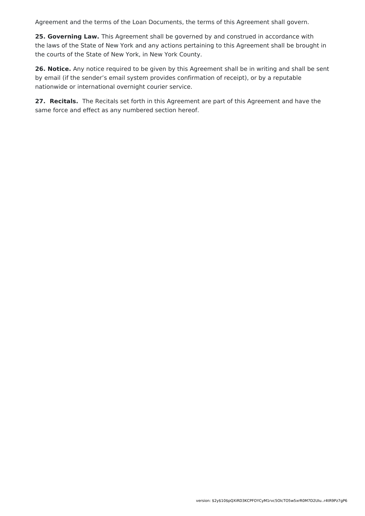Agreement and the terms of the Loan Documents, the terms of this Agreement shall govern.

**25. Governing Law.** This Agreement shall be governed by and construed in accordance with the laws of the State of New York and any actions pertaining to this Agreement shall be brought in the courts of the State of New York, in New York County.

**26. Notice.** Any notice required to be given by this Agreement shall be in writing and shall be sent by email (if the sender's email system provides confirmation of receipt), or by a reputable nationwide or international overnight courier service.

**27. Recitals.** The Recitals set forth in this Agreement are part of this Agreement and have the same force and effect as any numbered section hereof.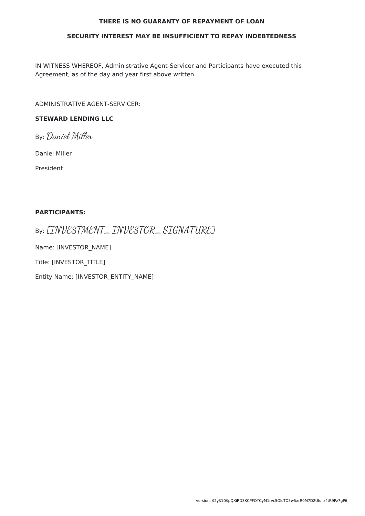#### **THERE IS NO GUARANTY OF REPAYMENT OF LOAN**

#### **SECURITY INTEREST MAY BE INSUFFICIENT TO REPAY INDEBTEDNESS**

IN WITNESS WHEREOF, Administrative Agent-Servicer and Participants have executed this Agreement, as of the day and year first above written.

ADMINISTRATIVE AGENT-SERVICER:

### **STEWARD LENDING LLC**

By: Daniel Miller

Daniel Miller

President

#### **PARTICIPANTS:**

By: [INVESTMENT\_INVESTOR\_SIGNATURE]

Name: [INVESTOR\_NAME]

Title: [INVESTOR\_TITLE]

Entity Name: [INVESTOR\_ENTITY\_NAME]